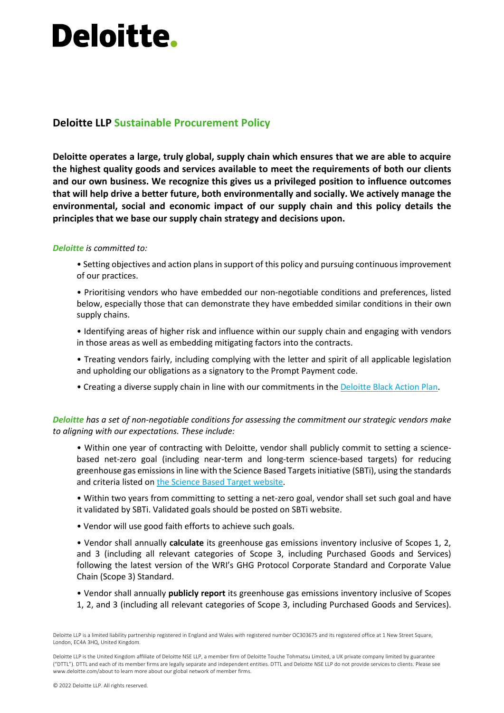# **Deloitte.**

### **Deloitte LLP Sustainable Procurement Policy**

**Deloitte operates a large, truly global, supply chain which ensures that we are able to acquire the highest quality goods and services available to meet the requirements of both our clients and our own business. We recognize this gives us a privileged position to influence outcomes that will help drive a better future, both environmentally and socially. We actively manage the environmental, social and economic impact of our supply chain and this policy details the principles that we base our supply chain strategy and decisions upon.** 

### *Deloitte is committed to:*

- Setting objectives and action plans in support of this policy and pursuing continuous improvement of our practices.
- Prioritising vendors who have embedded our non-negotiable conditions and preferences, listed below, especially those that can demonstrate they have embedded similar conditions in their own supply chains.
- Identifying areas of higher risk and influence within our supply chain and engaging with vendors in those areas as well as embedding mitigating factors into the contracts.
- Treating vendors fairly, including complying with the letter and spirit of all applicable legislation and upholding our obligations as a signatory to the Prompt Payment code.
- Creating a diverse supply chain in line with our commitments in the [Deloitte Black Action Plan.](https://www2.deloitte.com/uk/en/pages/about-deloitte-uk/articles/black-action-plan.html)

### *Deloitte has a set of non-negotiable conditions for assessing the commitment our strategic vendors make to aligning with our expectations. These include:*

- Within one year of contracting with Deloitte, vendor shall publicly commit to setting a sciencebased net-zero goal (including near-term and long-term science-based targets) for reducing greenhouse gas emissions in line with the Science Based Targets initiative (SBTi), using the standards and criteria listed on [the Science Based Target website.](https://sciencebasedtargets.org/)
- Within two years from committing to setting a net-zero goal, vendor shall set such goal and have it validated by SBTi. Validated goals should be posted on SBTi website.
- Vendor will use good faith efforts to achieve such goals.
- Vendor shall annually **calculate** its greenhouse gas emissions inventory inclusive of Scopes 1, 2, and 3 (including all relevant categories of Scope 3, including Purchased Goods and Services) following the latest version of the WRI's GHG Protocol Corporate Standard and Corporate Value Chain (Scope 3) Standard.
- Vendor shall annually **publicly report** its greenhouse gas emissions inventory inclusive of Scopes 1, 2, and 3 (including all relevant categories of Scope 3, including Purchased Goods and Services).

Deloitte LLP is the United Kingdom affiliate of Deloitte NSE LLP, a member firm of Deloitte Touche Tohmatsu Limited, a UK private company limited by guarantee ("DTTL"). DTTL and each of its member firms are legally separate and independent entities. DTTL and Deloitte NSE LLP do not provide services to clients. Please see www.deloitte.com/about to learn more about our global network of member firms.

Deloitte LLP is a limited liability partnership registered in England and Wales with registered number OC303675 and its registered office at 1 New Street Square, London, EC4A 3HQ, United Kingdom.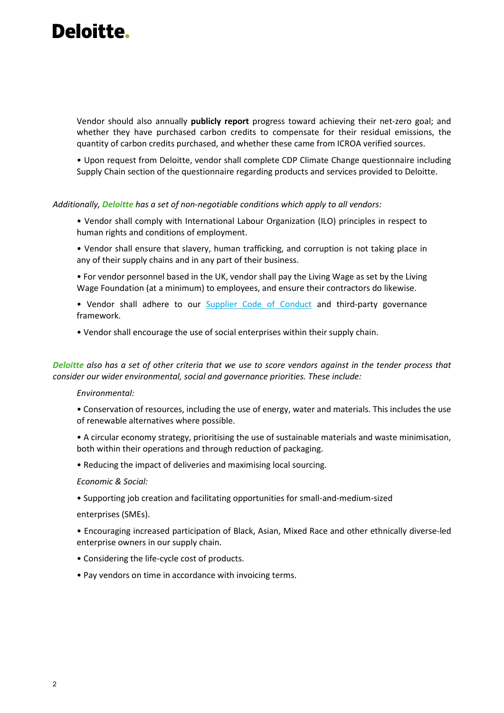## Deloitte.

Vendor should also annually **publicly report** progress toward achieving their net-zero goal; and whether they have purchased carbon credits to compensate for their residual emissions, the quantity of carbon credits purchased, and whether these came from ICROA verified sources.

• Upon request from Deloitte, vendor shall complete CDP Climate Change questionnaire including Supply Chain section of the questionnaire regarding products and services provided to Deloitte.

#### *Additionally, Deloitte has a set of non-negotiable conditions which apply to all vendors:*

- Vendor shall comply with International Labour Organization (ILO) principles in respect to human rights and conditions of employment.
- Vendor shall ensure that slavery, human trafficking, and corruption is not taking place in any of their supply chains and in any part of their business.
- For vendor personnel based in the UK, vendor shall pay the Living Wage as set by the Living Wage Foundation (at a minimum) to employees, and ensure their contractors do likewise.
- Vendor shall adhere to our **[Supplier Code of Conduct](https://www2.deloitte.com/global/en/pages/about-deloitte/articles/supplier-code-of-conduct.html)** and third-party governance framework.
- Vendor shall encourage the use of social enterprises within their supply chain.

*Deloitte also has a set of other criteria that we use to score vendors against in the tender process that consider our wider environmental, social and governance priorities. These include:* 

### *Environmental:*

- Conservation of resources, including the use of energy, water and materials. This includes the use of renewable alternatives where possible.
- A circular economy strategy, prioritising the use of sustainable materials and waste minimisation, both within their operations and through reduction of packaging.
- Reducing the impact of deliveries and maximising local sourcing.

#### *Economic & Social:*

• Supporting job creation and facilitating opportunities for small-and-medium-sized

enterprises (SMEs).

- Encouraging increased participation of Black, Asian, Mixed Race and other ethnically diverse-led enterprise owners in our supply chain.
- Considering the life-cycle cost of products.
- Pay vendors on time in accordance with invoicing terms.